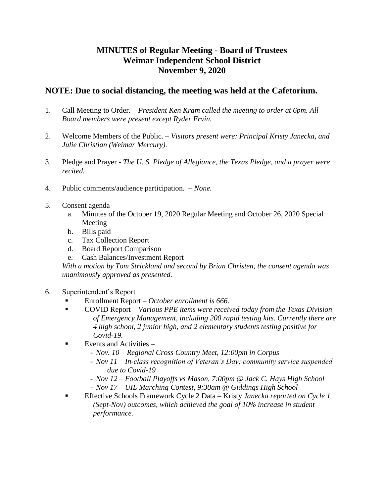## **MINUTES of Regular Meeting - Board of Trustees Weimar Independent School District November 9, 2020**

## **NOTE: Due to social distancing, the meeting was held at the Cafetorium.**

- 1. Call Meeting to Order. *President Ken Kram called the meeting to order at 6pm. All Board members were present except Ryder Ervin.*
- 2. Welcome Members of the Public. *Visitors present were: Principal Kristy Janecka, and Julie Christian (Weimar Mercury).*
- 3. Pledge and Prayer *The U. S. Pledge of Allegiance, the Texas Pledge, and a prayer were recited.*
- 4. Public comments/audience participation. *None.*
- 5. Consent agenda
	- a. Minutes of the October 19, 2020 Regular Meeting and October 26, 2020 Special Meeting
	- b. Bills paid
	- c. Tax Collection Report
	- d. Board Report Comparison
	- e. Cash Balances/Investment Report

*With a motion by Tom Strickland and second by Brian Christen, the consent agenda was unanimously approved as presented.* 

- 6. Superintendent's Report
	- Enrollment Report *October enrollment is 666.*
	- COVID Report *Various PPE items were received today from the Texas Division of Emergency Management, including 200 rapid testing kits. Currently there are 4 high school, 2 junior high, and 2 elementary students testing positive for Covid-19.*
	- Events and Activities *–*
		- *Nov. 10 – Regional Cross Country Meet, 12:00pm in Corpus*
		- *Nov 11 – In-class recognition of Veteran's Day; community service suspended due to Covid-19*
		- *Nov 12 – Football Playoffs vs Mason, 7:00pm @ Jack C. Hays High School*
		- *Nov 17 – UIL Marching Contest, 9:30am @ Giddings High School*
	- Effective Schools Framework Cycle 2 Data Kristy *Janecka reported on Cycle 1 (Sept-Nov) outcomes, which achieved the goal of 10% increase in student performance.*